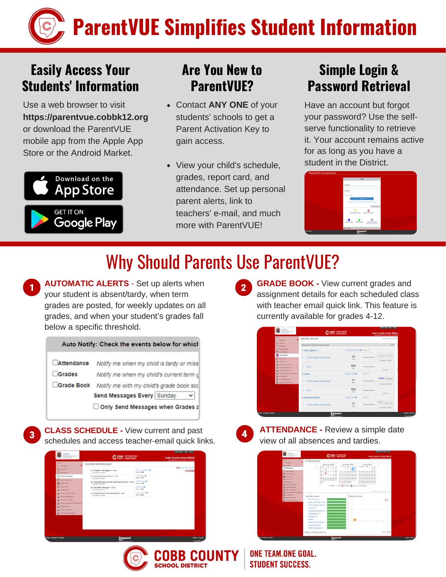# **ParentVUE Simplifies Student Information**

#### **Easily Access Your Students' Information**

Use a web browser to visit **https://parentvue.cobbk12.org** or download the ParentVUE mobile app from the Apple App Store or the Android Market.



#### **Are You New to ParentVUE?**

- Contact **ANY ONE** of your students' schools to get a Parent Activation Key to gain access.
- View your child's schedule, grades, report card, and attendance. Set up personal parent alerts, link to teachers' e-mail, and much more with ParentVUFL

#### **Simple Login & Password Retrieval**

Have an account but forgot your password? Use the selfserve functionality to retrieve it. Your account remains active for as long as you have a student in the District.



### Why Should Parents Use ParentVUE?

**AUTOMATIC ALERTS** - Set up alerts when your student is absent/tardy, when term grades are posted, for weekly updates on all grades, and when your student's grades fall below a specific threshold.

Auto Notify: Check the events below for which **Extendance** Notify me when my child is tardy or miss **Crades** Notify me when my child's current term of □Grade Book Notify me with my child's grade book sco Send Messages Every Sunday Only Send Messages when Grades a

**CLASS SCHEDULE -** View current and past schedules and access teacher-email quick links.

|                                                               | COBB THE TEMPER COM                                                              |                                                       | <b>Cobb County School District</b><br>Good normeg Constitutions Constitution |
|---------------------------------------------------------------|----------------------------------------------------------------------------------|-------------------------------------------------------|------------------------------------------------------------------------------|
| Home<br>(a) Messages                                          | <b>CLASS SCHEDULE</b>                                                            |                                                       |                                                                              |
| <b>EL</b> Calendar<br>7 Atendance                             | 01: 27.0990011 GSE Algebra 1 Y - 4101<br>12:00 AM 12:00 AM                       | ٠<br><b>Room 1206</b>                                 | Today   01   02   03   04<br>12/4/2020                                       |
| <b>ST Class Schedule</b>                                      | 02: 36.0510098 Personal Filmess - 1133<br>12:00 AM 12:00 AM                      | <b>STATE COLUMN</b><br>Room 1118                      |                                                                              |
| Course Request<br><b>EX</b> Grade Book                        | 03: 10.6181099.Audio and Video Technology and Film Y - 8133<br>12:00 AM 12:00 AM | mi m<br><b>Room 1404</b>                              |                                                                              |
| A. Report Card<br>R Student Into                              | 04: 26.0120002 H Brology 1 Y - 8122<br>12:00 AM 12:00 AM                         | ---<br>Room 2212                                      |                                                                              |
| <b>EL Back To School Choice</b>                               | 66: 05.0009000 Home Room/Advisement 9 - 2401<br>12:00 AM 12:00 AM                | <b>Contract Contract Contract</b><br><b>Room 2212</b> |                                                                              |
| <b>JA Albert Registration</b><br><b>EL Office 361 Consent</b> |                                                                                  |                                                       |                                                                              |
| <b>AL Fanily Engagement Registration</b>                      |                                                                                  |                                                       |                                                                              |
| <b>ZA SCHOOL MARS</b><br><b>EL</b> Crime Registration         |                                                                                  |                                                       |                                                                              |
| <b>IS Change My Information</b>                               |                                                                                  |                                                       |                                                                              |
|                                                               |                                                                                  |                                                       |                                                                              |
|                                                               |                                                                                  |                                                       |                                                                              |
|                                                               |                                                                                  |                                                       |                                                                              |
|                                                               |                                                                                  |                                                       |                                                                              |

**GRADE BOOK -** View current grades and assignment details for each scheduled class with teacher email quick link. This feature is currently available for grades 4-12.

| <b>Home</b>                                                                                     |   | <b>GRADE BOOK</b>                 | COBB   DIE TLANDAE GEN. |                             | God moning Council Child (2010)<br>View Course Content |  |
|-------------------------------------------------------------------------------------------------|---|-----------------------------------|-------------------------|-----------------------------|--------------------------------------------------------|--|
| (a) Messages<br>Calendar<br>12 Abenderow                                                        |   | High School<br>Classes for Illino |                         |                             | one                                                    |  |
| 52 Class Schedule<br>Course Request                                                             |   | 1: GSE Algebra I Y                |                         | <b>25 Foot 1311</b>         |                                                        |  |
| <b>ET Gram Book</b><br>AL Report Card                                                           |   | 3rd Six Week Grade Period         | 82                      | & Mexing Assignments        |                                                        |  |
| <b>R</b> Stateston                                                                              |   |                                   | 82.2%                   |                             | Led lipitals 15/36/2020                                |  |
| <b>Zg</b> Fack To School Choice<br><b>EL Ativit</b> Registrator<br><b>Ja Office 301 Connect</b> |   | EOC                               | N/A<br>0.0%             | <b>I</b> Masing Assignments | Led Listing                                            |  |
| <b>EL</b> Family Engagement Registration<br><b>EL School Meals</b>                              |   | 2: Health                         | $\blacksquare$          | <b>Buyer 1998</b>           |                                                        |  |
| <b>EL</b> Orien Fagioratos<br><b>EL Change My Information</b>                                   |   | <b>3rd Six Week Grade Period</b>  | 87<br>$36.3\%$          | <b>I</b> Masing Assignments | 100000-0-0010<br>Led Update: 10/19/2020                |  |
|                                                                                                 | ٠ | EOC                               | N/A<br>6.0%             | I Mexing Assignments        | Led Lindale                                            |  |
|                                                                                                 |   | 2: Personal Fitness               | m                       | <b>Book 200</b>             |                                                        |  |
|                                                                                                 |   | <b>3rd Six Week Grade Period</b>  | 57<br>56.6%             | <b>I</b> Masing Assignments | 14.73<br>Lettene Interior                              |  |



**ATTENDANCE -** Review a simple date view of all absences and tardies.

|                                                                                                                                                               |                                                                                                                                                                    | <b>Motivated State Corp.</b>                                                                 |
|---------------------------------------------------------------------------------------------------------------------------------------------------------------|--------------------------------------------------------------------------------------------------------------------------------------------------------------------|----------------------------------------------------------------------------------------------|
|                                                                                                                                                               | C 5088   DIE TLANSIE SEA                                                                                                                                           | <b>Cobb County School District</b><br>Cond starting Constitutions                            |
| <b>Contact</b><br><b>U. Meteoroped</b><br><b>Conta</b><br><b>Alendario</b><br><b>Cosa Schedule</b><br><b>Course</b> Esquand                                   | ATTENDANCE<br>November 2020<br>December 2020<br>1.1.1<br>$\blacksquare$<br>×<br>٠<br>٠<br>٠<br>4 5 6 7<br>13<br>×<br>٠<br>10 11 12 13 14<br>٠                      | January 2021<br>٠<br>$1 - 1 - 1$<br><b>A M A M A A M</b><br>$9 - 4 - 5$<br>$8 - 2$<br>$\sim$ |
| <b>El</b> Gale Book<br><b>K.</b> Heart Card<br>A morrists<br><b>El Fact To School Choice</b><br><b>EL Altada Registrative</b><br><b>EL Office 301 Connect</b> | ×<br>$\sim$<br>$\rightarrow$<br>$\sim$<br>$\sim$<br>20 29 24 25 26 27 28<br>00000<br>27 28 29 30 31<br>29 36<br>80<br>O home O let Q became @ Artis, O he breaked  | w.<br>24 25 26 27 28 29 30                                                                   |
| <b>EL Family Engagement Registration</b><br><b>ZE School Means</b><br><b>IL Colleg Registration</b><br><b>IL Ourus Vo Murratur</b>                            | Totals By Course<br>9th L&Comp-Y<br>Audio and Video Tech.<br>CTLS Grade 9 Atland.<br>French LY<br>General Physical Edu.<br><b>GSE Algebra I Y</b><br>H Biology I'V | All distribute as before the<br>Totals By Period<br>$\bullet$ lets<br>$\cdots$               |
|                                                                                                                                                               | Howlin,<br>Home Room/Advisers<br><b>Personal Fibrass</b><br>World Geography Y<br>Days of Attendance                                                                | bown C Latt                                                                                  |
| <b>Hall   Primary</b>                                                                                                                                         | <b>Edupoint</b>                                                                                                                                                    | <b>English Lithographs</b>                                                                   |



**ONE TEAM.ONE GOAL. STUDENT SUCCESS.**